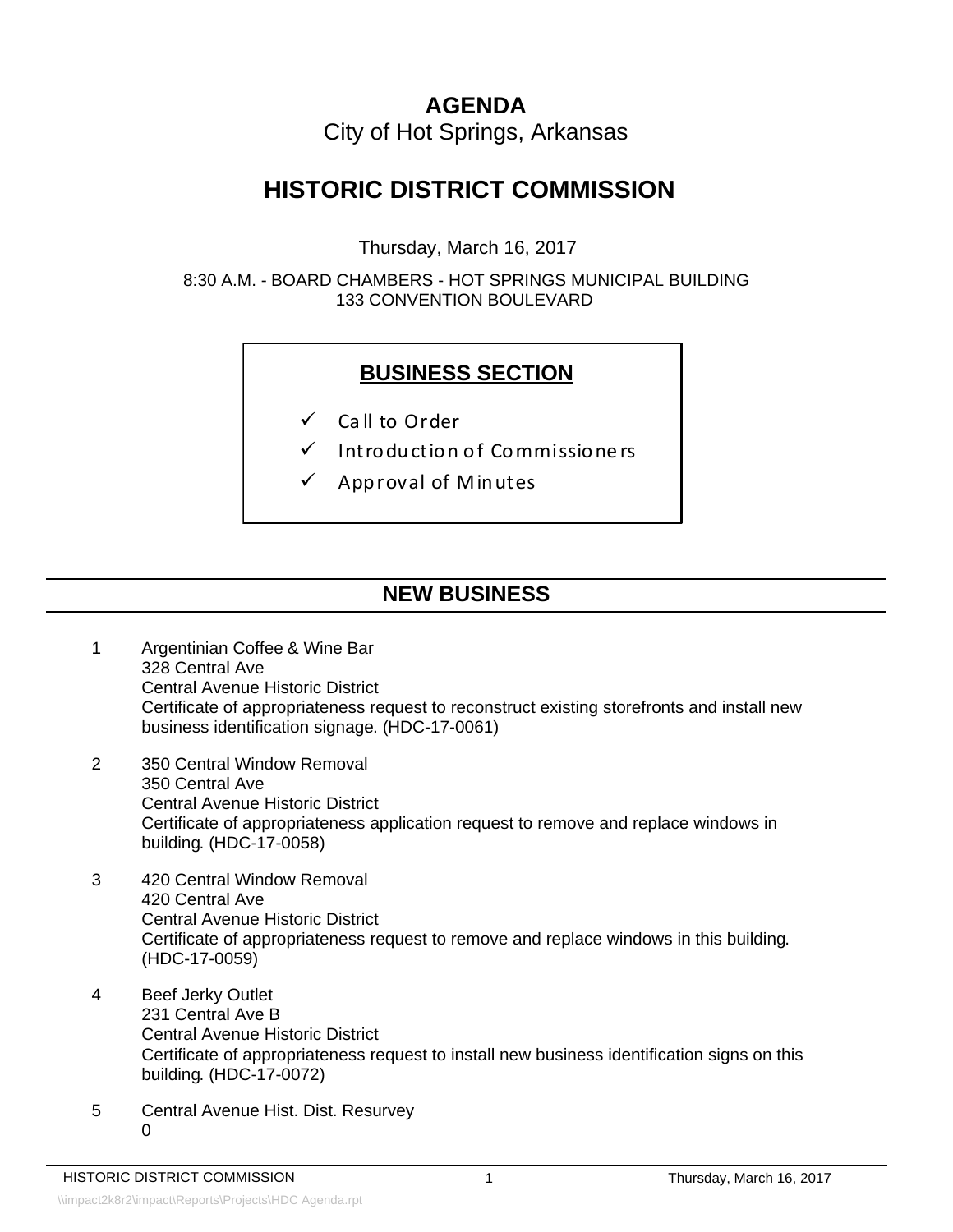## **AGENDA**

City of Hot Springs, Arkansas

## **HISTORIC DISTRICT COMMISSION**

Thursday, March 16, 2017

8:30 A.M. - BOARD CHAMBERS - HOT SPRINGS MUNICIPAL BUILDING 133 CONVENTION BOULEVARD

## **BUSINESS SECTION**

- $\checkmark$  Call to Order
- $\checkmark$  Intro duction of Commissioners
- $\checkmark$  App roval of Minutes

## **NEW BUSINESS**

- 1 Argentinian Coffee & Wine Bar 328 Central Ave Central Avenue Historic District Certificate of appropriateness request to reconstruct existing storefronts and install new business identification signage. (HDC-17-0061)
- 2 350 Central Window Removal 350 Central Ave Central Avenue Historic District Certificate of appropriateness application request to remove and replace windows in building. (HDC-17-0058)
- 3 420 Central Window Removal 420 Central Ave Central Avenue Historic District Certificate of appropriateness request to remove and replace windows in this building. (HDC-17-0059)
- 4 Beef Jerky Outlet 231 Central Ave B Central Avenue Historic District Certificate of appropriateness request to install new business identification signs on this building. (HDC-17-0072)
- 5 Central Avenue Hist. Dist. Resurvey  $\Omega$

1